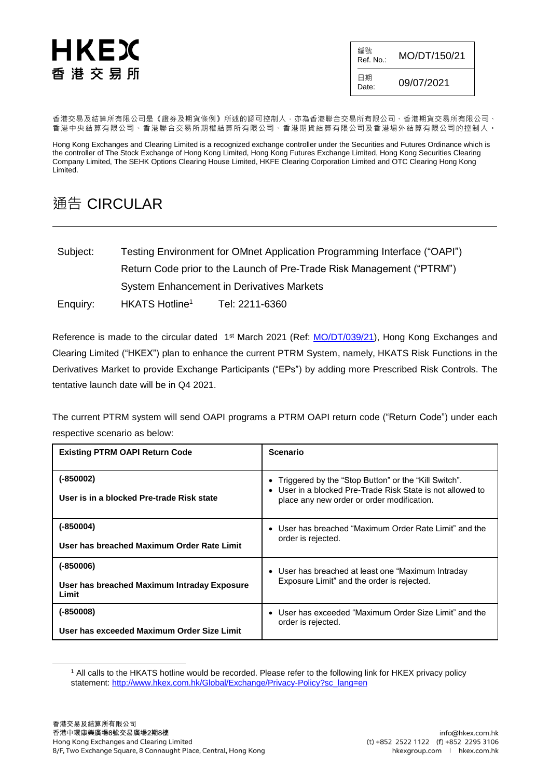## HKEX 香 港 交 易 所

| 編號<br>Ref. No.: | MO/DT/150/21 |
|-----------------|--------------|
| 日期<br>Date:     | 09/07/2021   |

香港交易及結算所有限公司是《證券及期貨條例》所述的認可控制人,亦為香港聯合交易所有限公司、香港期貨交易所有限公司、 香港中央結算有限公司、香港聯合交易所期權結算所有限公司、香港期貨結算有限公司及香港場外結算有限公司的控制人。

Hong Kong Exchanges and Clearing Limited is a recognized exchange controller under the Securities and Futures Ordinance which is the controller of The Stock Exchange of Hong Kong Limited, Hong Kong Futures Exchange Limited, Hong Kong Securities Clearing Company Limited, The SEHK Options Clearing House Limited, HKFE Clearing Corporation Limited and OTC Clearing Hong Kong Limited.

## 通告 CIRCULAR

| Subject: | Testing Environment for OMnet Application Programming Interface ("OAPI") |                |  |  |  |
|----------|--------------------------------------------------------------------------|----------------|--|--|--|
|          | Return Code prior to the Launch of Pre-Trade Risk Management ("PTRM")    |                |  |  |  |
|          | <b>System Enhancement in Derivatives Markets</b>                         |                |  |  |  |
| Enquiry: | HKATS Hotline <sup>1</sup>                                               | Tel: 2211-6360 |  |  |  |

Reference is made to the circular dated 1st March 2021 (Ref: <u>MO/DT/039/21</u>), Hong Kong Exchanges and Clearing Limited ("HKEX") plan to enhance the current PTRM System, namely, HKATS Risk Functions in the Derivatives Market to provide Exchange Participants ("EPs") by adding more Prescribed Risk Controls. The tentative launch date will be in Q4 2021.

The current PTRM system will send OAPI programs a PTRM OAPI return code ("Return Code") under each respective scenario as below:

| <b>Existing PTRM OAPI Return Code</b>                               | <b>Scenario</b>                                                                                                                                                |
|---------------------------------------------------------------------|----------------------------------------------------------------------------------------------------------------------------------------------------------------|
| $(-850002)$<br>User is in a blocked Pre-trade Risk state            | Triggered by the "Stop Button" or the "Kill Switch".<br>User in a blocked Pre-Trade Risk State is not allowed to<br>place any new order or order modification. |
| $(-850004)$<br>User has breached Maximum Order Rate Limit           | User has breached "Maximum Order Rate Limit" and the<br>$\bullet$<br>order is rejected.                                                                        |
| $(-850006)$<br>User has breached Maximum Intraday Exposure<br>Limit | • User has breached at least one "Maximum Intraday"<br>Exposure Limit" and the order is rejected.                                                              |
| $(-850008)$<br>User has exceeded Maximum Order Size Limit           | User has exceeded "Maximum Order Size Limit" and the<br>$\bullet$<br>order is rejected.                                                                        |

<sup>1</sup> All calls to the HKATS hotline would be recorded. Please refer to the following link for HKEX privacy policy statement: [http://www.hkex.com.hk/Global/Exchange/Privacy-Policy?sc\\_lang=en](http://www.hkex.com.hk/Global/Exchange/Privacy-Policy?sc_lang=en)

l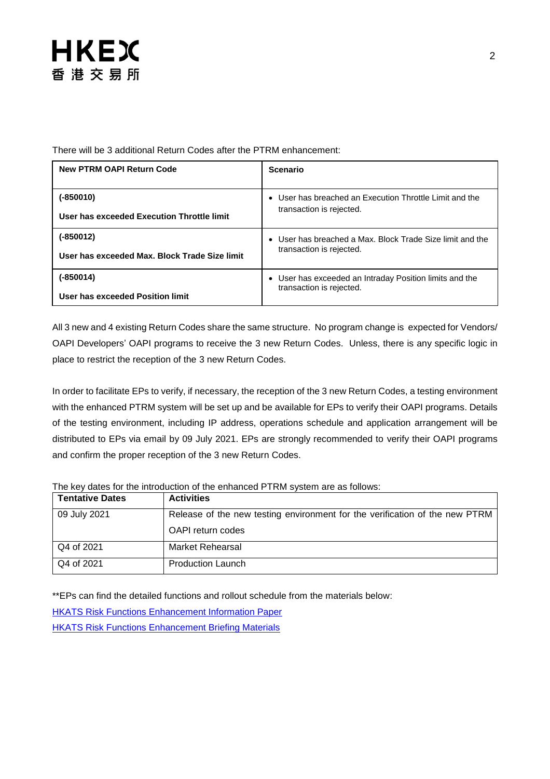

| <b>New PTRM OAPI Return Code</b>              | <b>Scenario</b>                                         |
|-----------------------------------------------|---------------------------------------------------------|
| (-850010)                                     | User has breached an Execution Throttle Limit and the   |
| User has exceeded Execution Throttle limit    | transaction is rejected.                                |
| (-850012)                                     | User has breached a Max. Block Trade Size limit and the |
| User has exceeded Max. Block Trade Size limit | transaction is rejected.                                |
| (-850014)                                     | • User has exceeded an Intraday Position limits and the |
| User has exceeded Position limit              | transaction is rejected.                                |

There will be 3 additional Return Codes after the PTRM enhancement:

All 3 new and 4 existing Return Codes share the same structure. No program change is expected for Vendors/ OAPI Developers' OAPI programs to receive the 3 new Return Codes. Unless, there is any specific logic in place to restrict the reception of the 3 new Return Codes.

In order to facilitate EPs to verify, if necessary, the reception of the 3 new Return Codes, a testing environment with the enhanced PTRM system will be set up and be available for EPs to verify their OAPI programs. Details of the testing environment, including IP address, operations schedule and application arrangement will be distributed to EPs via email by 09 July 2021. EPs are strongly recommended to verify their OAPI programs and confirm the proper reception of the 3 new Return Codes.

|  |  |  |  |  |  |  | The key dates for the introduction of the enhanced PTRM system are as follows: |
|--|--|--|--|--|--|--|--------------------------------------------------------------------------------|
|--|--|--|--|--|--|--|--------------------------------------------------------------------------------|

| <b>Tentative Dates</b> | <b>Activities</b>                                                           |
|------------------------|-----------------------------------------------------------------------------|
| 09 July 2021           | Release of the new testing environment for the verification of the new PTRM |
|                        | OAPI return codes                                                           |
| Q4 of 2021             | Market Rehearsal                                                            |
| Q4 of 2021             | <b>Production Launch</b>                                                    |

\*\*EPs can find the detailed functions and rollout schedule from the materials below:

[HKATS Risk Functions Enhancement Information Paper](https://www.hkex.com.hk/-/media/HKEX-Market/Services/Trading/Derivatives/Trading-Mechanism/Pre-Trade-Risk-Management-(PTRM)-System-in-Derivatives-Markets/Information-Paper/PTRM2InfoPaper20210301.pdf?la=en) [HKATS Risk Functions Enhancement Briefing Materials](https://www.hkex.com.hk/-/media/HKEX-Market/Services/Trading/Derivatives/Trading-Mechanism/Pre-Trade-Risk-Management-(PTRM)-System-in-Derivatives-Markets/PTRM2Briefing_20210324.pdf?la=en)